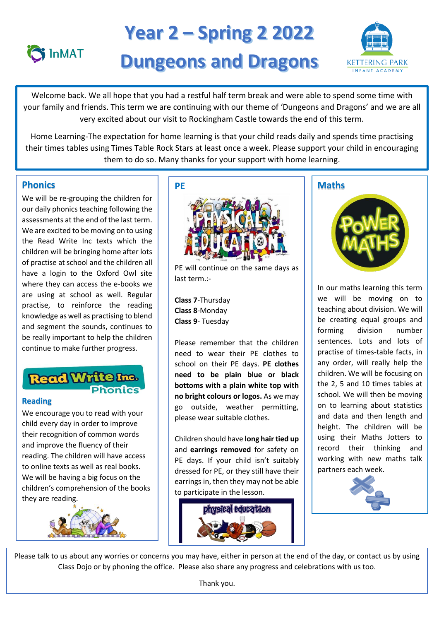

# **Year 2 – Spring 2 2022 Dungeons and Dragons**



 your family and friends. This term we are continuing with our theme of 'Dungeons and Dragons' and we are all very excited about our visit to Rockingham Castle towards the end of this term. Welcome back. We all hope that you had a restful half term break and were able to spend some time with

 Home Learning-The expectation for home learning is that your child reads daily and spends time practising their times tables using Times Table Rock Stars at least once a week. Please support your child in encouraging them to do so. Many thanks for your support with home learning.<br>————————————————————

# **Phonics**

We will be re-grouping the children for our daily phonics teaching following the assessments at the end of the last term. We are excited to be moving on to using the Read Write Inc texts which the children will be bringing home after lots of practise at school and the children all have a login to the Oxford Owl site where they can access the e-books we are using at school as well. Regular practise, to reinforce the reading knowledge as well as practising to blend and segment the sounds, continues to be really important to help the children continue to make further progress.

# **Read Write Inc.**

## **Reading**

We encourage you to read with your child every day in order to improve their recognition of common words and improve the fluency of their reading. The children will have access to online texts as well as real books. We will be having a big focus on the children's comprehension of the books they are reading.





PE will continue on the same days as last term.:-

**Class 7**-Thursday **Class 8**-Monday **Class 9**- Tuesday

Please remember that the children need to wear their PE clothes to school on their PE days. **PE clothes need to be plain blue or black bottoms with a plain white top with no bright colours or logos.** As we may go outside, weather permitting, please wear suitable clothes.

Children should have **long hair tied up** and **earrings removed** for safety on PE days. If your child isn't suitably dressed for PE, or they still have their earrings in, then they may not be able to participate in the lesson.



# **Maths**



In our maths learning this term we will be moving on to teaching about division. We will be creating equal groups and forming division number sentences. Lots and lots of practise of times-table facts, in any order, will really help the children. We will be focusing on the 2, 5 and 10 times tables at school. We will then be moving on to learning about statistics and data and then length and height. The children will be using their Maths Jotters to record their thinking and working with new maths talk partners each week.



Please talk to us about any worries or concerns you may have, either in person at the end of the day, or contact us by using Class Dojo or by phoning the office. Please also share any progress and celebrations with us too.

Thank you.